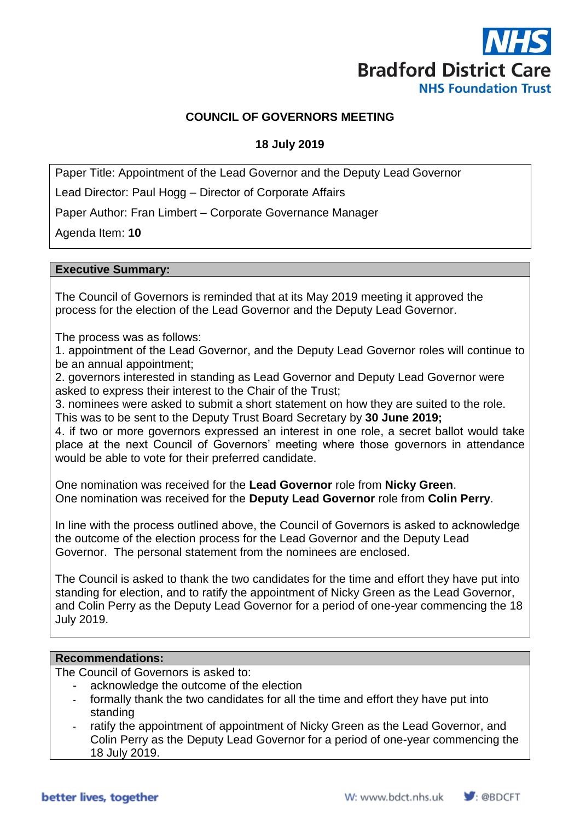

# **COUNCIL OF GOVERNORS MEETING**

# **18 July 2019**

Paper Title: Appointment of the Lead Governor and the Deputy Lead Governor

Lead Director: Paul Hogg – Director of Corporate Affairs

Paper Author: Fran Limbert – Corporate Governance Manager

Agenda Item: **10**

#### **Executive Summary:**

The Council of Governors is reminded that at its May 2019 meeting it approved the process for the election of the Lead Governor and the Deputy Lead Governor.

The process was as follows:

1. appointment of the Lead Governor, and the Deputy Lead Governor roles will continue to be an annual appointment;

2. governors interested in standing as Lead Governor and Deputy Lead Governor were asked to express their interest to the Chair of the Trust;

3. nominees were asked to submit a short statement on how they are suited to the role. This was to be sent to the Deputy Trust Board Secretary by **30 June 2019;**

4. if two or more governors expressed an interest in one role, a secret ballot would take place at the next Council of Governors' meeting where those governors in attendance would be able to vote for their preferred candidate.

One nomination was received for the **Lead Governor** role from **Nicky Green**. One nomination was received for the **Deputy Lead Governor** role from **Colin Perry**.

In line with the process outlined above, the Council of Governors is asked to acknowledge the outcome of the election process for the Lead Governor and the Deputy Lead Governor. The personal statement from the nominees are enclosed.

The Council is asked to thank the two candidates for the time and effort they have put into standing for election, and to ratify the appointment of Nicky Green as the Lead Governor, and Colin Perry as the Deputy Lead Governor for a period of one-year commencing the 18 July 2019.

#### **Recommendations:**

The Council of Governors is asked to:

- acknowledge the outcome of the election
- formally thank the two candidates for all the time and effort they have put into standing
- ratify the appointment of appointment of Nicky Green as the Lead Governor, and Colin Perry as the Deputy Lead Governor for a period of one-year commencing the 18 July 2019.